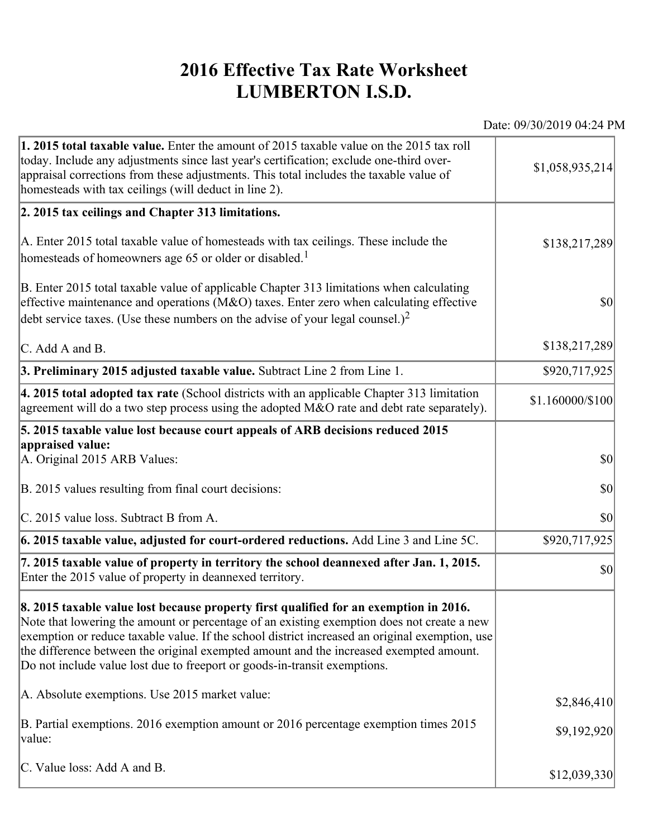## **2016 Effective Tax Rate Worksheet LUMBERTON I.S.D.**

Date: 09/30/2019 04:24 PM

| 1. 2015 total taxable value. Enter the amount of 2015 taxable value on the 2015 tax roll<br>today. Include any adjustments since last year's certification; exclude one-third over-<br>appraisal corrections from these adjustments. This total includes the taxable value of<br>homesteads with tax ceilings (will deduct in line 2).                                                                                                                       | \$1,058,935,214  |
|--------------------------------------------------------------------------------------------------------------------------------------------------------------------------------------------------------------------------------------------------------------------------------------------------------------------------------------------------------------------------------------------------------------------------------------------------------------|------------------|
| 2. 2015 tax ceilings and Chapter 313 limitations.                                                                                                                                                                                                                                                                                                                                                                                                            |                  |
| A. Enter 2015 total taxable value of homesteads with tax ceilings. These include the<br>homesteads of homeowners age 65 or older or disabled. <sup>1</sup>                                                                                                                                                                                                                                                                                                   | \$138,217,289    |
| B. Enter 2015 total taxable value of applicable Chapter 313 limitations when calculating<br>effective maintenance and operations ( $M&O$ ) taxes. Enter zero when calculating effective<br>debt service taxes. (Use these numbers on the advise of your legal counsel.) <sup>2</sup>                                                                                                                                                                         | $ 10\rangle$     |
| $\mathcal{C}$ . Add A and B.                                                                                                                                                                                                                                                                                                                                                                                                                                 | \$138,217,289    |
| 3. Preliminary 2015 adjusted taxable value. Subtract Line 2 from Line 1.                                                                                                                                                                                                                                                                                                                                                                                     | \$920,717,925    |
| 4. 2015 total adopted tax rate (School districts with an applicable Chapter 313 limitation<br>agreement will do a two step process using the adopted M&O rate and debt rate separately).                                                                                                                                                                                                                                                                     | \$1.160000/\$100 |
| 5. 2015 taxable value lost because court appeals of ARB decisions reduced 2015                                                                                                                                                                                                                                                                                                                                                                               |                  |
| appraised value:<br>A. Original 2015 ARB Values:                                                                                                                                                                                                                                                                                                                                                                                                             | <b>\$0</b>       |
| B. 2015 values resulting from final court decisions:                                                                                                                                                                                                                                                                                                                                                                                                         | $ 10\rangle$     |
| C. 2015 value loss. Subtract B from A.                                                                                                                                                                                                                                                                                                                                                                                                                       | $ 10\rangle$     |
| 6. 2015 taxable value, adjusted for court-ordered reductions. Add Line 3 and Line 5C.                                                                                                                                                                                                                                                                                                                                                                        | \$920,717,925    |
| 7. 2015 taxable value of property in territory the school deannexed after Jan. 1, 2015.<br>Enter the 2015 value of property in deannexed territory.                                                                                                                                                                                                                                                                                                          | $ 10\rangle$     |
| 8. 2015 taxable value lost because property first qualified for an exemption in 2016.<br>Note that lowering the amount or percentage of an existing exemption does not create a new<br>exemption or reduce taxable value. If the school district increased an original exemption, use<br>the difference between the original exempted amount and the increased exempted amount.<br>Do not include value lost due to freeport or goods-in-transit exemptions. |                  |
| A. Absolute exemptions. Use 2015 market value:                                                                                                                                                                                                                                                                                                                                                                                                               | \$2,846,410      |
| B. Partial exemptions. 2016 exemption amount or 2016 percentage exemption times 2015<br>value:                                                                                                                                                                                                                                                                                                                                                               | \$9,192,920      |
| C. Value loss: Add A and B.                                                                                                                                                                                                                                                                                                                                                                                                                                  | \$12,039,330     |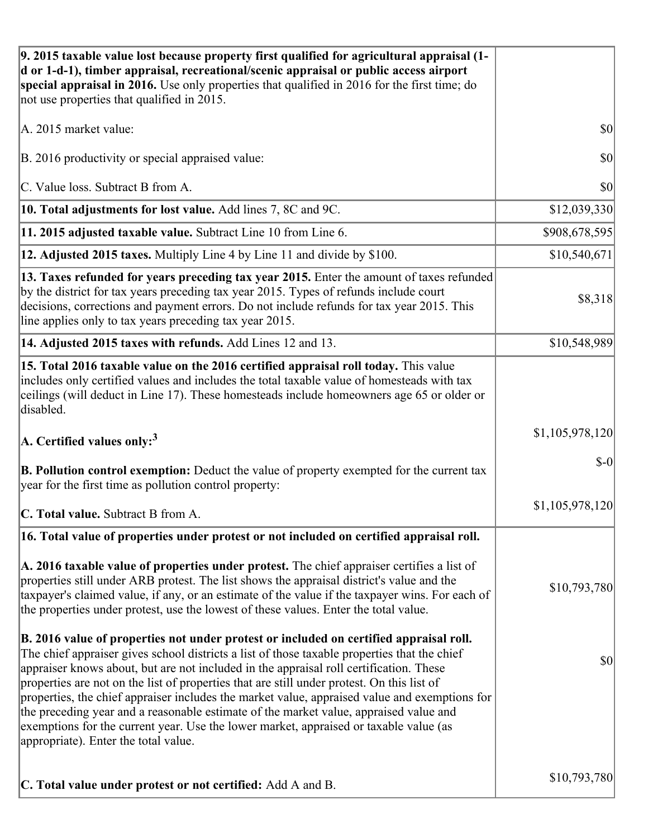| 9. 2015 taxable value lost because property first qualified for agricultural appraisal (1-<br>d or 1-d-1), timber appraisal, recreational/scenic appraisal or public access airport<br>special appraisal in 2016. Use only properties that qualified in 2016 for the first time; do<br>not use properties that qualified in 2015.                                                                                                                                                                                                                                                                                                                                                                         |                 |
|-----------------------------------------------------------------------------------------------------------------------------------------------------------------------------------------------------------------------------------------------------------------------------------------------------------------------------------------------------------------------------------------------------------------------------------------------------------------------------------------------------------------------------------------------------------------------------------------------------------------------------------------------------------------------------------------------------------|-----------------|
| A. 2015 market value:                                                                                                                                                                                                                                                                                                                                                                                                                                                                                                                                                                                                                                                                                     | \$0             |
| B. 2016 productivity or special appraised value:                                                                                                                                                                                                                                                                                                                                                                                                                                                                                                                                                                                                                                                          | 30              |
| C. Value loss. Subtract B from A.                                                                                                                                                                                                                                                                                                                                                                                                                                                                                                                                                                                                                                                                         | \$0             |
| 10. Total adjustments for lost value. Add lines 7, 8C and 9C.                                                                                                                                                                                                                                                                                                                                                                                                                                                                                                                                                                                                                                             | \$12,039,330    |
| 11. 2015 adjusted taxable value. Subtract Line 10 from Line 6.                                                                                                                                                                                                                                                                                                                                                                                                                                                                                                                                                                                                                                            | \$908,678,595   |
| 12. Adjusted 2015 taxes. Multiply Line 4 by Line 11 and divide by \$100.                                                                                                                                                                                                                                                                                                                                                                                                                                                                                                                                                                                                                                  | \$10,540,671    |
| 13. Taxes refunded for years preceding tax year 2015. Enter the amount of taxes refunded<br>by the district for tax years preceding tax year 2015. Types of refunds include court<br>decisions, corrections and payment errors. Do not include refunds for tax year 2015. This<br>line applies only to tax years preceding tax year 2015.                                                                                                                                                                                                                                                                                                                                                                 | \$8,318         |
| 14. Adjusted 2015 taxes with refunds. Add Lines 12 and 13.                                                                                                                                                                                                                                                                                                                                                                                                                                                                                                                                                                                                                                                | \$10,548,989    |
| 15. Total 2016 taxable value on the 2016 certified appraisal roll today. This value<br>includes only certified values and includes the total taxable value of homesteads with tax<br>ceilings (will deduct in Line 17). These homesteads include homeowners age 65 or older or<br>disabled.                                                                                                                                                                                                                                                                                                                                                                                                               |                 |
| $\vert$ A. Certified values only: <sup>3</sup>                                                                                                                                                                                                                                                                                                                                                                                                                                                                                                                                                                                                                                                            | \$1,105,978,120 |
| <b>B. Pollution control exemption:</b> Deduct the value of property exempted for the current tax<br>year for the first time as pollution control property:                                                                                                                                                                                                                                                                                                                                                                                                                                                                                                                                                | $S-0$           |
| C. Total value. Subtract B from A.                                                                                                                                                                                                                                                                                                                                                                                                                                                                                                                                                                                                                                                                        | \$1,105,978,120 |
| 16. Total value of properties under protest or not included on certified appraisal roll.                                                                                                                                                                                                                                                                                                                                                                                                                                                                                                                                                                                                                  |                 |
| A. 2016 taxable value of properties under protest. The chief appraiser certifies a list of<br>properties still under ARB protest. The list shows the appraisal district's value and the<br>taxpayer's claimed value, if any, or an estimate of the value if the taxpayer wins. For each of<br>the properties under protest, use the lowest of these values. Enter the total value.                                                                                                                                                                                                                                                                                                                        | \$10,793,780    |
| B. 2016 value of properties not under protest or included on certified appraisal roll.<br>The chief appraiser gives school districts a list of those taxable properties that the chief<br>appraiser knows about, but are not included in the appraisal roll certification. These<br>properties are not on the list of properties that are still under protest. On this list of<br>properties, the chief appraiser includes the market value, appraised value and exemptions for<br>the preceding year and a reasonable estimate of the market value, appraised value and<br>exemptions for the current year. Use the lower market, appraised or taxable value (as<br>appropriate). Enter the total value. | \$0             |
| C. Total value under protest or not certified: Add A and B.                                                                                                                                                                                                                                                                                                                                                                                                                                                                                                                                                                                                                                               | \$10,793,780    |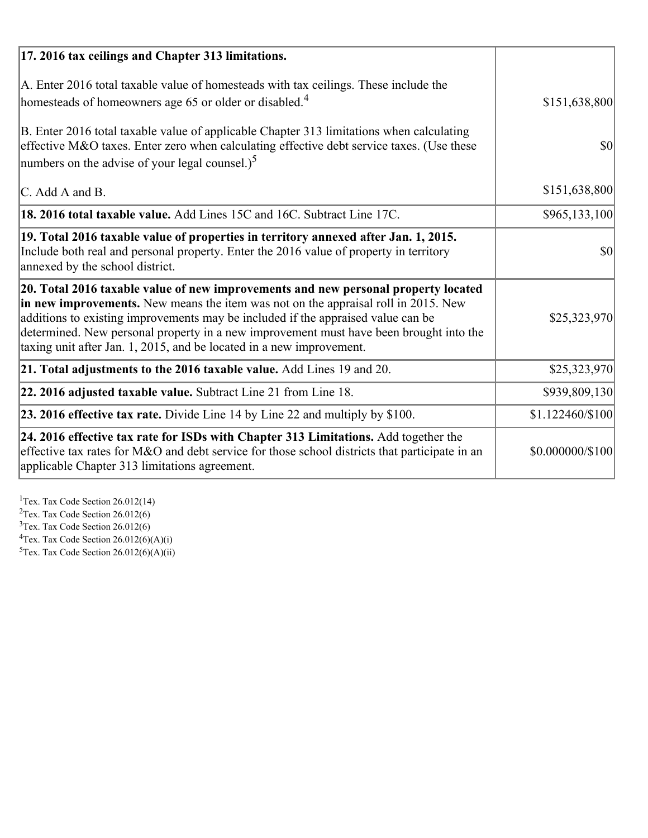| 17. 2016 tax ceilings and Chapter 313 limitations.                                                                                                                                                                                                                                                                                                                                                                             |                  |
|--------------------------------------------------------------------------------------------------------------------------------------------------------------------------------------------------------------------------------------------------------------------------------------------------------------------------------------------------------------------------------------------------------------------------------|------------------|
| A. Enter 2016 total taxable value of homesteads with tax ceilings. These include the<br>homesteads of homeowners age 65 or older or disabled. <sup>4</sup>                                                                                                                                                                                                                                                                     | \$151,638,800    |
| B. Enter 2016 total taxable value of applicable Chapter 313 limitations when calculating<br>effective M&O taxes. Enter zero when calculating effective debt service taxes. (Use these<br>numbers on the advise of your legal counsel.) <sup>5</sup>                                                                                                                                                                            | $\vert$ \$0      |
| C. Add A and B.                                                                                                                                                                                                                                                                                                                                                                                                                | \$151,638,800    |
| 18. 2016 total taxable value. Add Lines 15C and 16C. Subtract Line 17C.                                                                                                                                                                                                                                                                                                                                                        | \$965,133,100    |
| 19. Total 2016 taxable value of properties in territory annexed after Jan. 1, 2015.<br>Include both real and personal property. Enter the 2016 value of property in territory<br>annexed by the school district.                                                                                                                                                                                                               | 30               |
| 20. Total 2016 taxable value of new improvements and new personal property located<br>in new improvements. New means the item was not on the appraisal roll in 2015. New<br>additions to existing improvements may be included if the appraised value can be<br>determined. New personal property in a new improvement must have been brought into the<br>taxing unit after Jan. 1, 2015, and be located in a new improvement. | \$25,323,970     |
| 21. Total adjustments to the 2016 taxable value. Add Lines 19 and 20.                                                                                                                                                                                                                                                                                                                                                          | \$25,323,970     |
| 22. 2016 adjusted taxable value. Subtract Line 21 from Line 18.                                                                                                                                                                                                                                                                                                                                                                | \$939,809,130    |
| 23. 2016 effective tax rate. Divide Line 14 by Line 22 and multiply by \$100.                                                                                                                                                                                                                                                                                                                                                  | \$1.122460/\$100 |
| 24. 2016 effective tax rate for ISDs with Chapter 313 Limitations. Add together the<br>effective tax rates for M&O and debt service for those school districts that participate in an<br>applicable Chapter 313 limitations agreement.                                                                                                                                                                                         | \$0.000000/\$100 |

<sup>1</sup>Tex. Tax Code Section 26.012(14)  $2$ Tex. Tax Code Section 26.012(6)  $3$ Tex. Tax Code Section 26.012(6)  ${}^{4}$ Tex. Tax Code Section 26.012(6)(A)(i)

 $5$ Tex. Tax Code Section 26.012(6)(A)(ii)